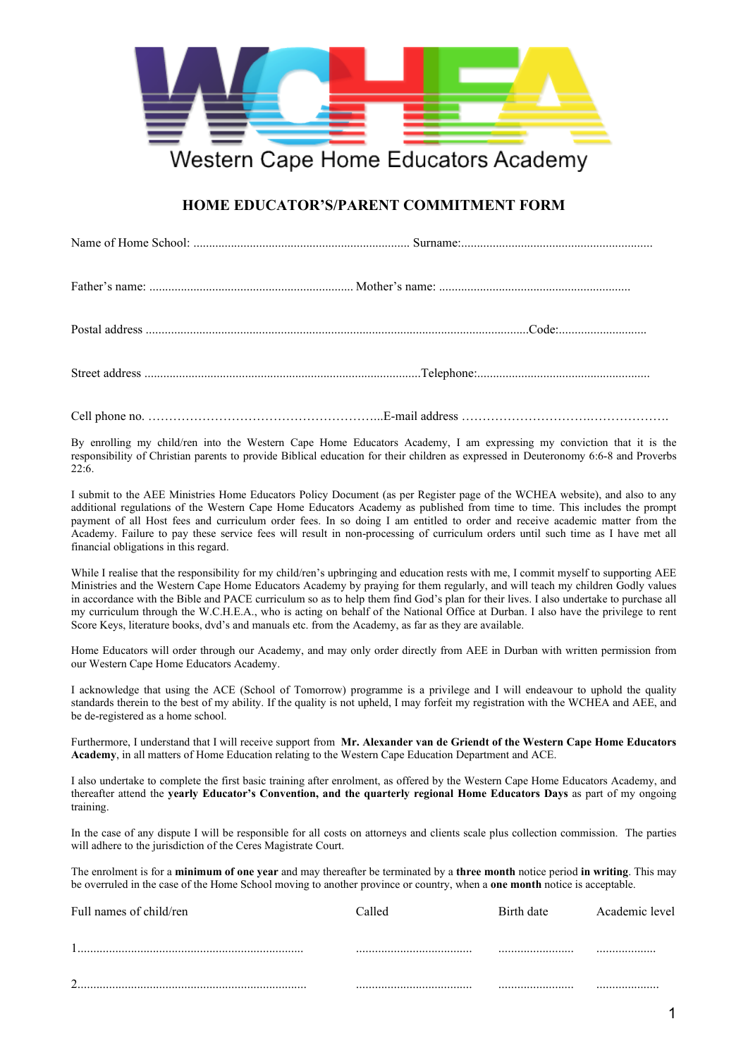

## **HOME EDUCATOR'S/PARENT COMMITMENT FORM**

Cell phone no. ………………………………………………...E-mail address ………………………….……………….

By enrolling my child/ren into the Western Cape Home Educators Academy, I am expressing my conviction that it is the responsibility of Christian parents to provide Biblical education for their children as expressed in Deuteronomy 6:6-8 and Proverbs 22:6.

I submit to the AEE Ministries Home Educators Policy Document (as per Register page of the WCHEA website), and also to any additional regulations of the Western Cape Home Educators Academy as published from time to time. This includes the prompt payment of all Host fees and curriculum order fees. In so doing I am entitled to order and receive academic matter from the Academy. Failure to pay these service fees will result in non-processing of curriculum orders until such time as I have met all financial obligations in this regard.

While I realise that the responsibility for my child/ren's upbringing and education rests with me, I commit myself to supporting AEE Ministries and the Western Cape Home Educators Academy by praying for them regularly, and will teach my children Godly values in accordance with the Bible and PACE curriculum so as to help them find God's plan for their lives. I also undertake to purchase all my curriculum through the W.C.H.E.A., who is acting on behalf of the National Office at Durban. I also have the privilege to rent Score Keys, literature books, dvd's and manuals etc. from the Academy, as far as they are available.

Home Educators will order through our Academy, and may only order directly from AEE in Durban with written permission from our Western Cape Home Educators Academy.

I acknowledge that using the ACE (School of Tomorrow) programme is a privilege and I will endeavour to uphold the quality standards therein to the best of my ability. If the quality is not upheld, I may forfeit my registration with the WCHEA and AEE, and be de-registered as a home school.

Furthermore, I understand that I will receive support from **Mr. Alexander van de Griendt of the Western Cape Home Educators Academy**, in all matters of Home Education relating to the Western Cape Education Department and ACE.

I also undertake to complete the first basic training after enrolment, as offered by the Western Cape Home Educators Academy, and thereafter attend the **yearly Educator's Convention, and the quarterly regional Home Educators Days** as part of my ongoing training.

In the case of any dispute I will be responsible for all costs on attorneys and clients scale plus collection commission. The parties will adhere to the jurisdiction of the Ceres Magistrate Court.

The enrolment is for a **minimum of one year** and may thereafter be terminated by a **three month** notice period **in writing**. This may be overruled in the case of the Home School moving to another province or country, when a **one month** notice is acceptable.

| Full names of child/ren | Called | Birth date | Academic level |
|-------------------------|--------|------------|----------------|
|                         |        |            |                |
| ⌒                       |        |            |                |